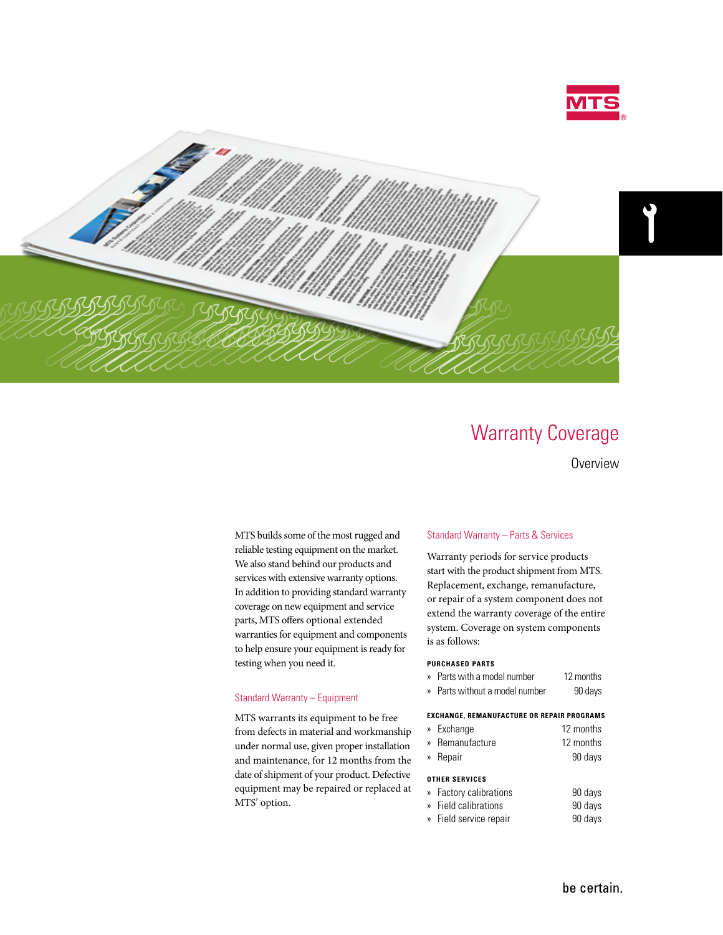



# Warranty Coverage

**Overview** 

MTS builds some of the most rugged and reliable testing equipment on the market. We also stand behind our products and services with extensive warranty options. In addition to providing standard warranty coverage on new equipment and service parts, MTS offers optional extended warranties for equipment and components to help ensure your equipment is ready for testing when you need it.

#### Standard Warranty – Equipment

MTS warrants its equipment to be free from defects in material and workmanship under normal use, given proper installation and maintenance, for 12 months from the date of shipment of your product. Defective equipment may be repaired or replaced at MTS' option.

#### Standard Warranty – Parts & Services

Warranty periods for service products start with the product shipment from MTS. Replacement, exchange, remanufacture, or repair of a system component does not extend the warranty coverage of the entire system. Coverage on system components is as follows:

## **PURCHASED PARTS**

- » Parts with a model number 12 months
- » Parts without a model number 90 days

## **EXCHANGE, REMANUFACTURE OR REPAIR PROGRAMS**

- » Exchange 12 months » Remanufacture 12 months
- » Repair 90 days

#### **OTHER SERVICES**

| » Factory calibrations | 90 days |
|------------------------|---------|
| » Field calibrations   | 90 days |

- » Field service repair 90 days
	- be certain.